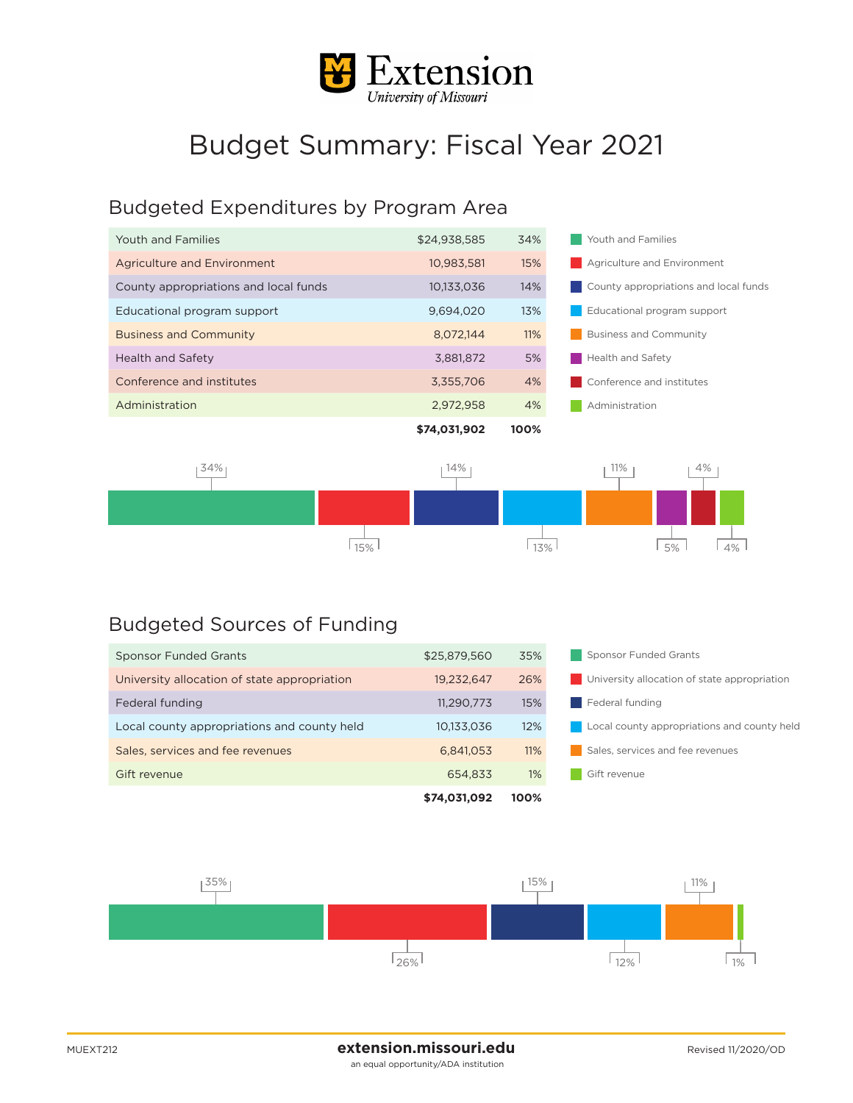

## Budget Summary: Fiscal Year 2021

## Budgeted Expenditures by Program Area

| Youth and Families                    | \$24,938,585 | 34%  | Youth and Families                    |  |
|---------------------------------------|--------------|------|---------------------------------------|--|
| Agriculture and Environment           | 10,983,581   | 15%  | Agriculture and Environment           |  |
| County appropriations and local funds | 10.133.036   | 14%  | County appropriations and local funds |  |
| Educational program support           | 9.694.020    | 13%  | Educational program support           |  |
| <b>Business and Community</b>         | 8.072.144    | 11%  | <b>Business and Community</b>         |  |
| <b>Health and Safety</b>              | 3,881,872    | 5%   | <b>Health and Safety</b>              |  |
| Conference and institutes             | 3.355.706    | 4%   | Conference and institutes             |  |
| Administration                        | 2,972,958    | 4%   | Administration                        |  |
|                                       | \$74,031,902 | 100% |                                       |  |



## Budgeted Sources of Funding

|                                              | \$74,031,092 | 100%  |                                              |  |
|----------------------------------------------|--------------|-------|----------------------------------------------|--|
| Gift revenue                                 | 654.833      | $1\%$ | Gift revenue                                 |  |
| Sales, services and fee revenues             | 6.841.053    | 11%   | Sales, services and fee revenues             |  |
| Local county appropriations and county held  | 10,133,036   | 12%   | Local county appropriations and county held  |  |
| Federal funding                              | 11,290,773   | 15%   | Federal funding                              |  |
| University allocation of state appropriation | 19.232.647   | 26%   | University allocation of state appropriation |  |
| <b>Sponsor Funded Grants</b>                 | \$25,879,560 | 35%   | Sponsor Funded Grants                        |  |